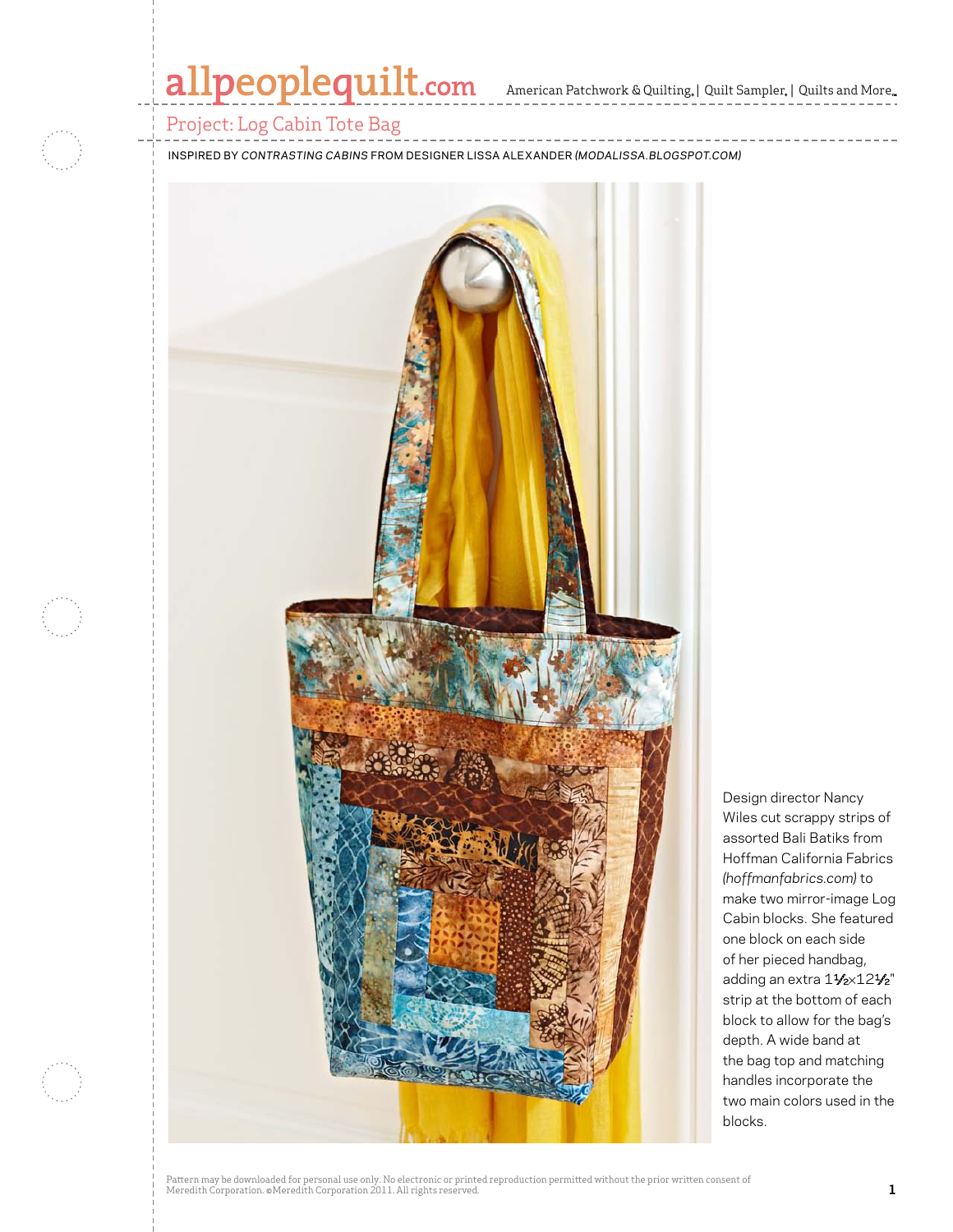## allpeoplequilt.com American Patchwork & Quilting, | Quilt Sampler, | Quilts and More..

### Project: Log Cabin Tote Bag

inspired by *Contrasting Cabins* from Designer Lissa Alexander *(modalissa.blogspot.com)*



Design director Nancy Wiles cut scrappy strips of assorted Bali Batiks from Hoffman California Fabrics *(hoffmanfabrics.com)* to make two mirror-image Log Cabin blocks. She featured one block on each side of her pieced handbag, adding an extra 11/2×121/2" strip at the bottom of each block to allow for the bag's depth. A wide band at the bag top and matching handles incorporate the two main colors used in the blocks.

Pattern may be downloaded for personal use only. No electronic or printed reproduction permitted without the prior written consent of Meredith Corporation. ©Meredith Corporation 2011. All rights reserved. **1**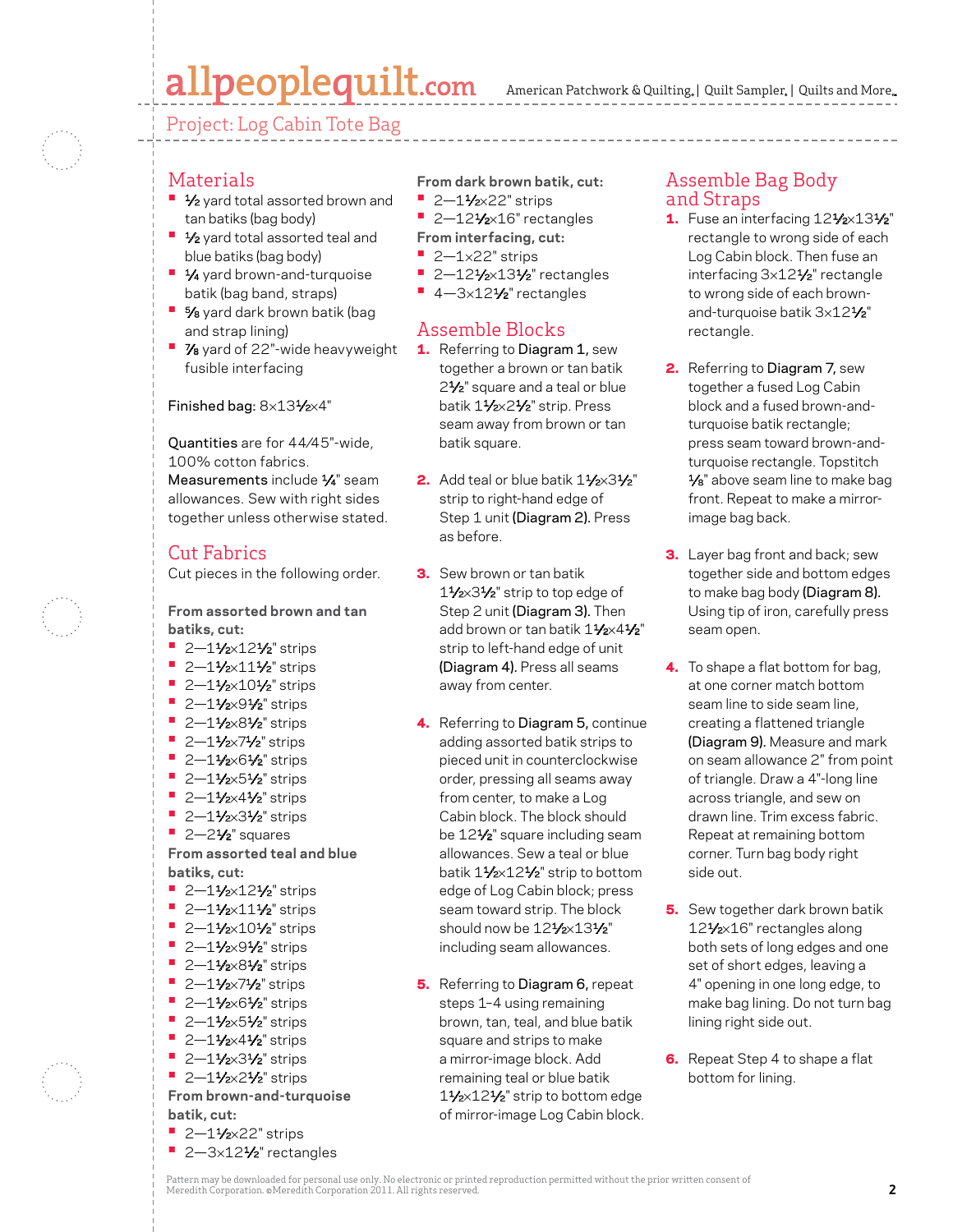# allpeoplequilt.com

Project: Log Cabin Tote Bag



#### Materials

- **1⁄2** yard total assorted brown and tan batiks (bag body)
- **1/<sub>2</sub>** yard total assorted teal and blue batiks (bag body)
- **1⁄4** yard brown-and-turquoise batik (bag band, straps)
- **5/8** yard dark brown batik (bag and strap lining)
- **7/8** yard of 22"-wide heavyweight fusible interfacing

#### Finished bag: 8×131⁄2×4"

Quantities are for 44⁄45"-wide, 100% cotton fabrics.

Measurements include 1/4" seam allowances. Sew with right sides together unless otherwise stated.

### Cut Fabrics

Cut pieces in the following order.

**From assorted brown and tan batiks, cut:**

- **•** 2-11/2×121/2" strips
- **•**  2—11⁄2×111⁄2" strips
- **•** 2-11/2×101/2" strips
- **•** 2-11/<sub>2×</sub>91/<sub>2</sub>" strips
- **•** 2–11⁄2×81⁄2" strips
- **•** 2-11/2×71/2" strips
- **•** 2-11/<sub>2×6</sub>1/<sub>2</sub>" strips
- **•** 2-11/<sub>2×</sub>51/<sub>2</sub>" strips
- **•** 2-11/2×41/2" strips
- **•** 2-11/2×31/2" strips
- **•**  2—21⁄2" squares

**From assorted teal and blue batiks, cut:**

- **•** 2-11/<sub>2×12</sub>1/<sub>2</sub>" strips
- <sup>■</sup> 2-11⁄<sub>2</sub>×111⁄<sub>2</sub>" strips
- **•** 2–11⁄2×101⁄2" strips
- **•** 2-11/<sub>2×</sub>91/<sub>2</sub>" strips
- **•** 2-11/2×81/2" strips
- **•** 2-11/<sub>2</sub>×71/<sub>2</sub>" strips
- **•** 2–11⁄2×61⁄2" strips
- **•** 2-11/2×51/2" strips
- **•** 2–11⁄2×41⁄2" strips
- **•** 2–11⁄2×31⁄2" strips
- **•** 2-11/2×21/2" strips

**From brown-and-turquoise batik, cut:**

- **•** 2-11⁄2×22" strips
- **•**  2—3×121⁄2" rectangles

**From dark brown batik, cut:**

- **•** 2-11⁄2×22" strips
- **•** 2-121/<sub>2×16</sub>" rectangles
- **From interfacing, cut:**
- **•**  2—1×22" strips
- **•** 2-121/<sub>2</sub>×131/<sub>2</sub>" rectangles
- 4-3×12<sup>1</sup>⁄2" rectangles

### Assemble Blocks

- 1. Referring to Diagram 1, sew together a brown or tan batik 2<sup>1</sup>/<sub>2</sub>" square and a teal or blue batik 11⁄2×21⁄2" strip. Press seam away from brown or tan batik square.
- 2. Add teal or blue batik  $1\frac{1}{2} \times 3\frac{1}{2}$ " strip to right-hand edge of Step 1 unit (Diagram 2). Press as before.
- **3.** Sew brown or tan batik 11⁄2×31⁄2" strip to top edge of Step 2 unit (Diagram 3). Then add brown or tan batik 11/2×41/2" strip to left-hand edge of unit (Diagram 4). Press all seams away from center.
- 4. Referring to Diagram 5, continue adding assorted batik strips to pieced unit in counterclockwise order, pressing all seams away from center, to make a Log Cabin block. The block should be 12<sup>1</sup>/<sub>2</sub>" square including seam allowances. Sew a teal or blue batik 11/2×121/2" strip to bottom edge of Log Cabin block; press seam toward strip. The block should now be  $12\frac{1}{2} \times 13\frac{1}{2}$ " including seam allowances.
- **5.** Referring to Diagram 6, repeat steps 1–4 using remaining brown, tan, teal, and blue batik square and strips to make a mirror-image block. Add remaining teal or blue batik 11⁄2×121⁄2" strip to bottom edge of mirror-image Log Cabin block.

### Assemble Bag Body and Straps

- 1. Fuse an interfacing  $12\frac{1}{2}\times 13\frac{1}{2}$ " rectangle to wrong side of each Log Cabin block. Then fuse an interfacing 3×121⁄2" rectangle to wrong side of each brownand-turquoise batik 3×121⁄2" rectangle.
- 2. Referring to Diagram 7, sew together a fused Log Cabin block and a fused brown-andturquoise batik rectangle; press seam toward brown-andturquoise rectangle. Topstitch 1/8" above seam line to make bag front. Repeat to make a mirrorimage bag back.
- **3.** Layer bag front and back; sew together side and bottom edges to make bag body (Diagram 8). Using tip of iron, carefully press seam open.
- 4. To shape a flat bottom for bag, at one corner match bottom seam line to side seam line, creating a flattened triangle (Diagram 9). Measure and mark on seam allowance 2" from point of triangle. Draw a 4"-long line across triangle, and sew on drawn line. Trim excess fabric. Repeat at remaining bottom corner. Turn bag body right side out.
- **5.** Sew together dark brown batik 121⁄2×16" rectangles along both sets of long edges and one set of short edges, leaving a 4" opening in one long edge, to make bag lining. Do not turn bag lining right side out.
- **6.** Repeat Step 4 to shape a flat bottom for lining.

Pattern may be downloaded for personal use only. No electronic or printed reproduction permitted without the prior written consent of Meredith Corporation. ©Meredith Corporation 2011. All rights reserved. **2**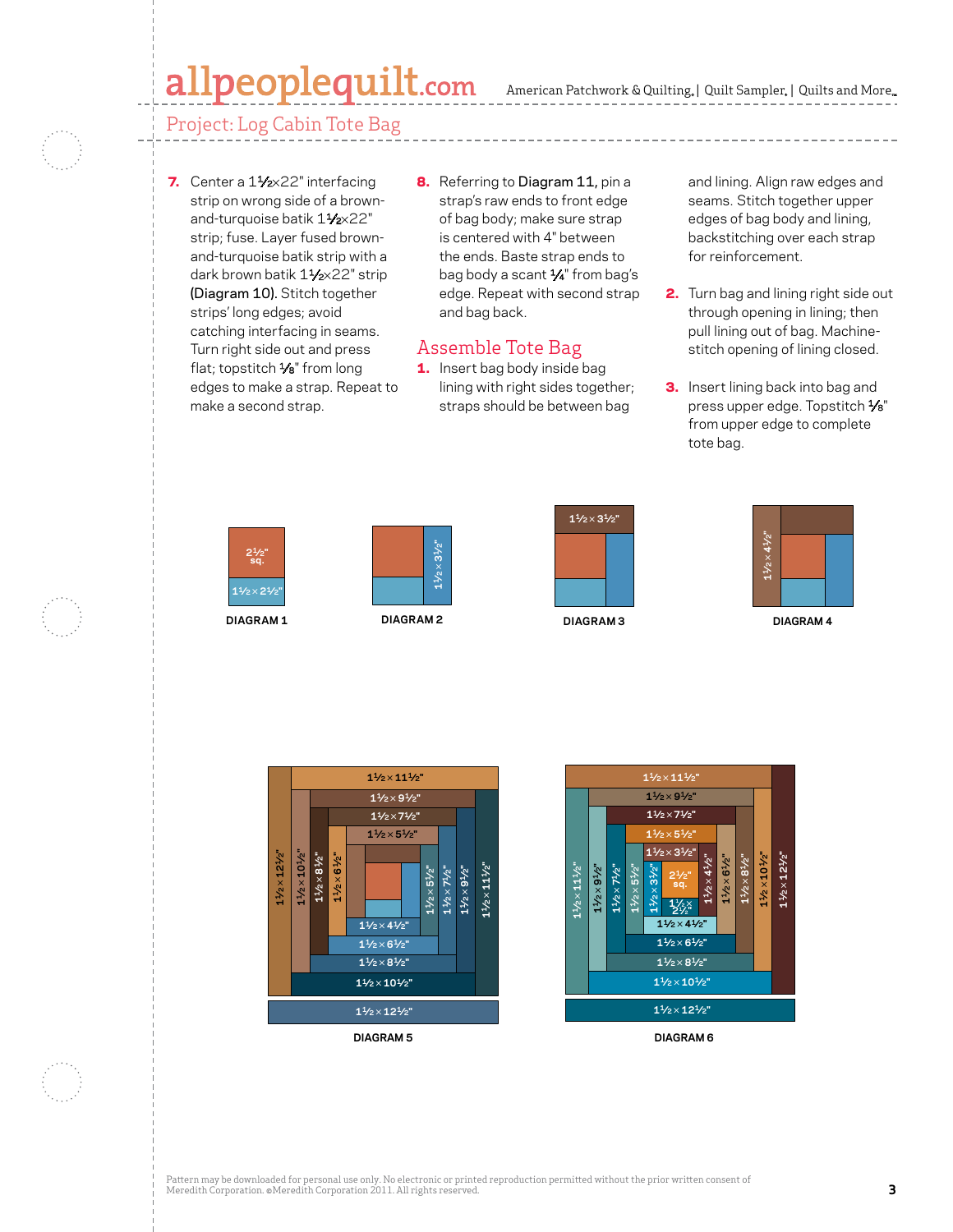### allpeoplequilt.com

Project: Log Cabin Tote Bag

- 7. Center a 1<sup>1</sup>/<sub>2×</sub>22" interfacing strip on wrong side of a brownand-turquoise batik 11/2×22" strip; fuse. Layer fused brownand-turquoise batik strip with a dark brown batik 11/2×22" strip (Diagram 10). Stitch together strips' long edges; avoid catching interfacing in seams. Turn right side out and press flat; topstitch 1/8" from long edges to make a strap. Repeat to make a second strap.
- edge. Repeat with second strap **2.** 8. Referring to Diagram 11, pin a strap's raw ends to front edge of bag body; make sure strap is centered with 4" between the ends. Baste strap ends to bag body a scant 1⁄4" from bag's and bag back.

#### **C. Neubauer 8-3-11** Assemble Tote Bag

**100005433** 1. Insert bag body inside bag lining with right sides together; straps should be between bag

and lining. Align raw edges and seams. Stitch together upper edges of bag body and lining, backstitching over each strap for reinforcement.

- **2.** Turn bag and lining right side out through opening in lining; then pull lining out of bag. Machinepan mang succer sug. mashing<br>stitch opening of lining closed.
- **APQ DECEMBER 2011 CMR 4431952 3.** Insert lining back into bag and press upper edge. Topstitch 1/8" from upper edge to complete tote bag.











**DIAGRAM 4**



**DIAGRAM 5**



**DIAGRAM 6**